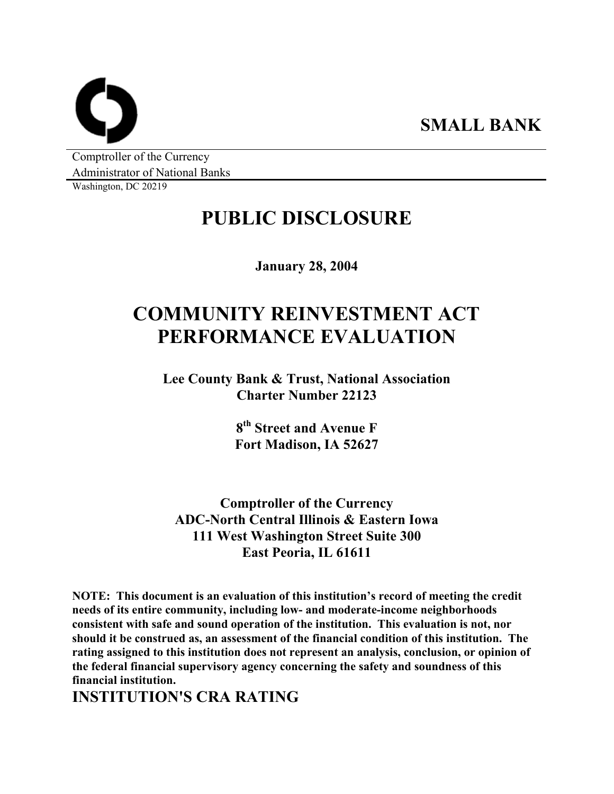**SMALL BANK** 

Comptroller of the Currency Administrator of National Banks

Washington, DC 20219

## **PUBLIC DISCLOSURE**

**January 28, 2004** 

# **COMMUNITY REINVESTMENT ACT PERFORMANCE EVALUATION**

**Lee County Bank & Trust, National Association Charter Number 22123** 

> **8th Street and Avenue F Fort Madison, IA 52627**

**Comptroller of the Currency ADC-North Central Illinois & Eastern Iowa 111 West Washington Street Suite 300 East Peoria, IL 61611** 

**NOTE: This document is an evaluation of this institution's record of meeting the credit needs of its entire community, including low- and moderate-income neighborhoods consistent with safe and sound operation of the institution. This evaluation is not, nor should it be construed as, an assessment of the financial condition of this institution. The rating assigned to this institution does not represent an analysis, conclusion, or opinion of the federal financial supervisory agency concerning the safety and soundness of this financial institution.** 

**INSTITUTION'S CRA RATING**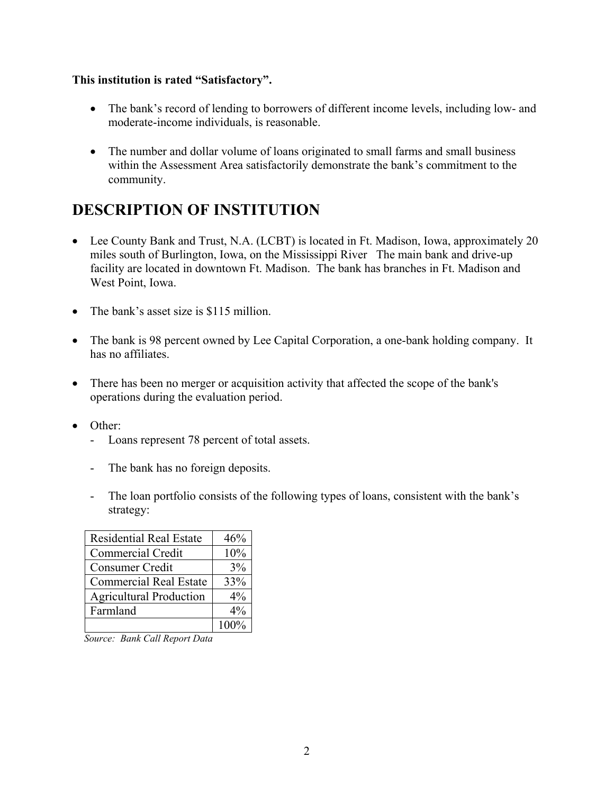#### **This institution is rated "Satisfactory".**

- The bank's record of lending to borrowers of different income levels, including low- and moderate-income individuals, is reasonable.
- The number and dollar volume of loans originated to small farms and small business within the Assessment Area satisfactorily demonstrate the bank's commitment to the community.

### **DESCRIPTION OF INSTITUTION**

- Lee County Bank and Trust, N.A. (LCBT) is located in Ft. Madison, Iowa, approximately 20 miles south of Burlington, Iowa, on the Mississippi River The main bank and drive-up facility are located in downtown Ft. Madison. The bank has branches in Ft. Madison and West Point, Iowa.
- The bank's asset size is \$115 million.
- The bank is 98 percent owned by Lee Capital Corporation, a one-bank holding company. It has no affiliates.
- There has been no merger or acquisition activity that affected the scope of the bank's operations during the evaluation period.
- Other:
	- Loans represent 78 percent of total assets.
	- The bank has no foreign deposits.
	- The loan portfolio consists of the following types of loans, consistent with the bank's strategy:

| <b>Residential Real Estate</b> | 46%   |
|--------------------------------|-------|
| Commercial Credit              | 10%   |
| Consumer Credit                | 3%    |
| <b>Commercial Real Estate</b>  | 33%   |
| <b>Agricultural Production</b> | $4\%$ |
| Farmland                       | $4\%$ |
|                                | 100%  |

*Source: Bank Call Report Data*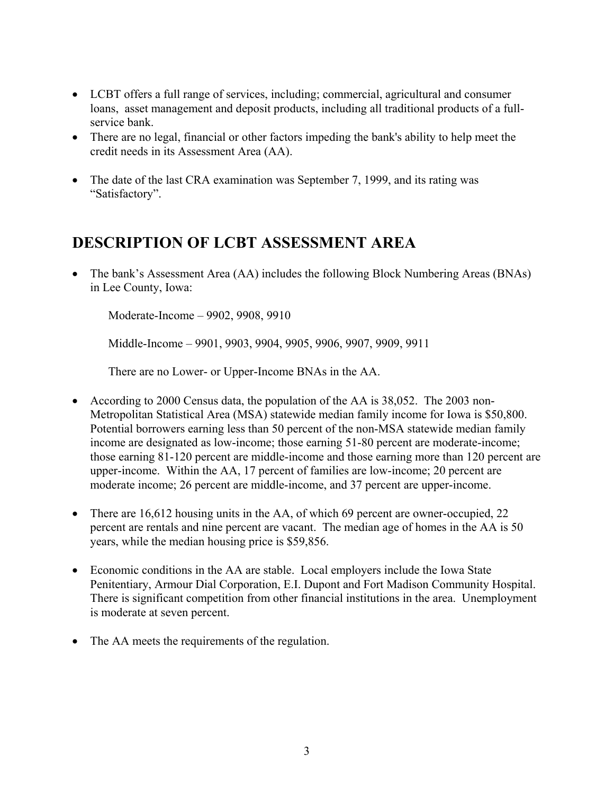- LCBT offers a full range of services, including; commercial, agricultural and consumer loans, asset management and deposit products, including all traditional products of a fullservice bank.
- There are no legal, financial or other factors impeding the bank's ability to help meet the credit needs in its Assessment Area (AA).
- The date of the last CRA examination was September 7, 1999, and its rating was "Satisfactory".

### **DESCRIPTION OF LCBT ASSESSMENT AREA**

• The bank's Assessment Area (AA) includes the following Block Numbering Areas (BNAs) in Lee County, Iowa:

Moderate-Income – 9902, 9908, 9910

Middle-Income – 9901, 9903, 9904, 9905, 9906, 9907, 9909, 9911

There are no Lower- or Upper-Income BNAs in the AA.

- According to 2000 Census data, the population of the AA is 38,052. The 2003 non-Metropolitan Statistical Area (MSA) statewide median family income for Iowa is \$50,800. Potential borrowers earning less than 50 percent of the non-MSA statewide median family income are designated as low-income; those earning 51-80 percent are moderate-income; those earning 81-120 percent are middle-income and those earning more than 120 percent are upper-income. Within the AA, 17 percent of families are low-income; 20 percent are moderate income; 26 percent are middle-income, and 37 percent are upper-income.
- There are 16,612 housing units in the AA, of which 69 percent are owner-occupied, 22 percent are rentals and nine percent are vacant. The median age of homes in the AA is 50 years, while the median housing price is \$59,856.
- Economic conditions in the AA are stable. Local employers include the Iowa State Penitentiary, Armour Dial Corporation, E.I. Dupont and Fort Madison Community Hospital. There is significant competition from other financial institutions in the area. Unemployment is moderate at seven percent.
- The AA meets the requirements of the regulation.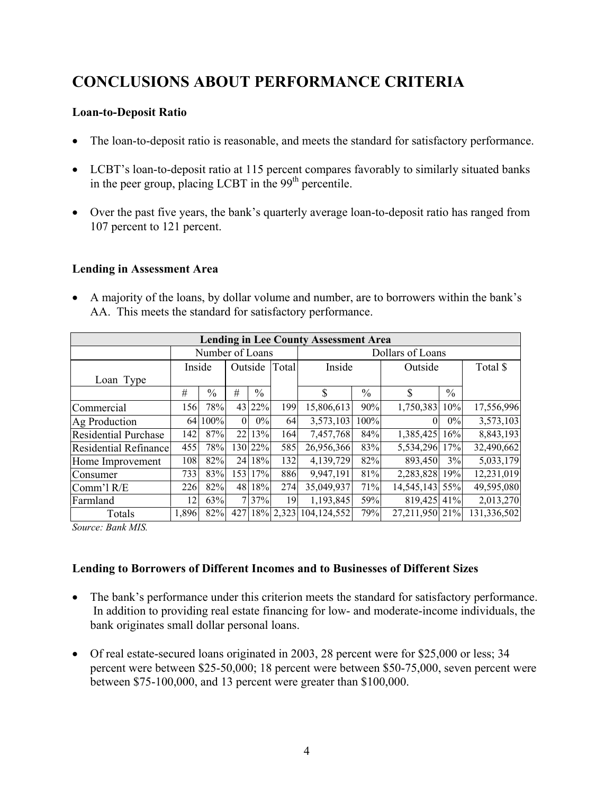## **CONCLUSIONS ABOUT PERFORMANCE CRITERIA**

#### **Loan-to-Deposit Ratio**

- The loan-to-deposit ratio is reasonable, and meets the standard for satisfactory performance.
- LCBT's loan-to-deposit ratio at 115 percent compares favorably to similarly situated banks in the peer group, placing LCBT in the  $99<sup>th</sup>$  percentile.
- Over the past five years, the bank's quarterly average loan-to-deposit ratio has ranged from 107 percent to 121 percent.

#### **Lending in Assessment Area**

• A majority of the loans, by dollar volume and number, are to borrowers within the bank's AA. This meets the standard for satisfactory performance.

| <b>Lending in Lee County Assessment Area</b> |                 |               |                 |               |       |                       |               |            |               |             |
|----------------------------------------------|-----------------|---------------|-----------------|---------------|-------|-----------------------|---------------|------------|---------------|-------------|
|                                              | Number of Loans |               |                 |               |       | Dollars of Loans      |               |            |               |             |
|                                              | Inside          |               |                 | Outside       | Total | Inside                |               | Outside    |               | Total \$    |
| Loan Type                                    |                 |               |                 |               |       |                       |               |            |               |             |
|                                              | #               | $\frac{0}{0}$ | #               | $\frac{0}{0}$ |       | \$                    | $\frac{0}{0}$ | \$         | $\frac{0}{0}$ |             |
| Commercial                                   | 1561            | 78%           |                 | 43 22%        | 199   | 15,806,613            | 90%           | 1,750,383  | 10%           | 17,556,996  |
| Ag Production                                | 64              | 100%          | $\Omega$        | 0%            | 64    | 3,573,103             | 100%          | 0          | $0\%$         | 3,573,103   |
| <b>Residential Purchase</b>                  | 142             | 87%           | 22 <sub>1</sub> | 13%           | 164   | 7,457,768             | 84%           | 1,385,425  | 16%           | 8,843,193   |
| <b>Residential Refinance</b>                 | 455             | 78%           |                 | 130 22%       | 585   | 26,956,366            | 83%           | 5,534,296  | 17%           | 32,490,662  |
| Home Improvement                             | 108             | 82%           | 24              | 18%           | 132   | 4,139,729             | 82%           | 893,450    | 3%            | 5,033,179   |
| Consumer                                     | 733             | 83%           | 153             | 17%           | 886   | 9,947,191             | 81%           | 2,283,828  | 19%           | 12,231,019  |
| Comm'l R/E                                   | 226             | 82%           | 48              | 18%           | 274   | 35,049,937            | 71%           | 14,545,143 | 55%           | 49,595,080  |
| Farmland                                     | 12              | 63%           |                 | 7 37%         | 19    | 1,193,845             | 59%           | 819,425    | 41%           | 2,013,270   |
| Totals                                       | 1,896           | 82%           | 427             |               |       | 18% 2,323 104,124,552 | 79%           | 27,211,950 | 21%           | 131,336,502 |

*Source: Bank MIS.* 

#### **Lending to Borrowers of Different Incomes and to Businesses of Different Sizes**

- The bank's performance under this criterion meets the standard for satisfactory performance. In addition to providing real estate financing for low- and moderate-income individuals, the bank originates small dollar personal loans.
- Of real estate-secured loans originated in 2003, 28 percent were for \$25,000 or less; 34 percent were between \$25-50,000; 18 percent were between \$50-75,000, seven percent were between \$75-100,000, and 13 percent were greater than \$100,000.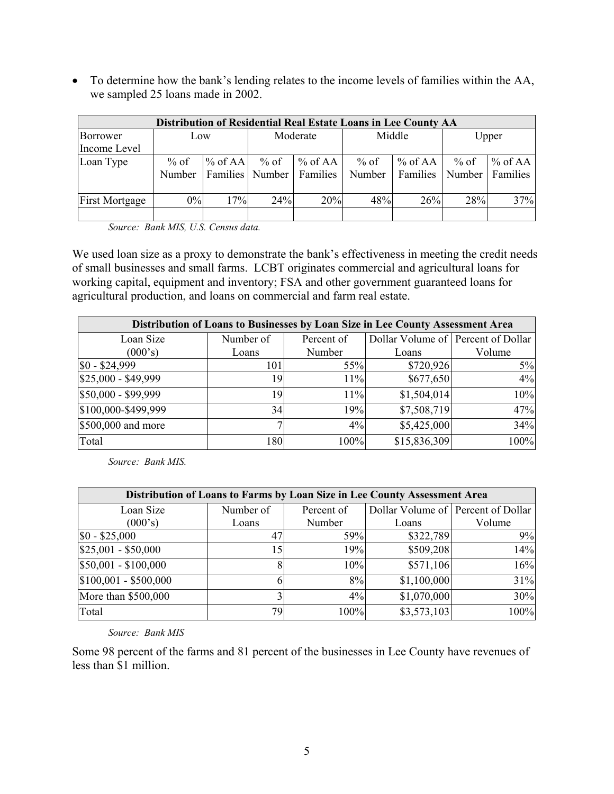• To determine how the bank's lending relates to the income levels of families within the AA, we sampled 25 loans made in 2002.

| Distribution of Residential Real Estate Loans in Lee County AA |        |                   |          |            |        |           |        |                   |
|----------------------------------------------------------------|--------|-------------------|----------|------------|--------|-----------|--------|-------------------|
| Borrower                                                       | Low    |                   | Moderate |            | Middle |           | Upper  |                   |
| Income Level                                                   |        |                   |          |            |        |           |        |                   |
| Loan Type                                                      | % of   | % of AA           | $\%$ of  | $\%$ of AA | $%$ of | $%$ of AA | $%$ of | % of AA           |
|                                                                | Number | Families   Number |          | Families   | Number | Families  |        | Number   Families |
|                                                                |        |                   |          |            |        |           |        |                   |
| <b>First Mortgage</b>                                          | 0%     | 17%               | 24%      | 20%        | 48%    | 26%       | 28%    | 37%               |
|                                                                |        |                   |          |            |        |           |        |                   |

 *Source: Bank MIS, U.S. Census data.* 

We used loan size as a proxy to demonstrate the bank's effectiveness in meeting the credit needs of small businesses and small farms. LCBT originates commercial and agricultural loans for working capital, equipment and inventory; FSA and other government guaranteed loans for agricultural production, and loans on commercial and farm real estate.

| Distribution of Loans to Businesses by Loan Size in Lee County Assessment Area |           |            |              |                                    |  |  |  |  |
|--------------------------------------------------------------------------------|-----------|------------|--------------|------------------------------------|--|--|--|--|
| Loan Size                                                                      | Number of | Percent of |              | Dollar Volume of Percent of Dollar |  |  |  |  |
| (000's)                                                                        | Loans     | Number     | Loans        | Volume                             |  |  |  |  |
| $$0 - $24,999$                                                                 | 101       | 55%        | \$720,926    | $5\%$                              |  |  |  |  |
| \$25,000 - \$49,999                                                            | 19        | 11%        | \$677,650    | 4%                                 |  |  |  |  |
| \$50,000 - \$99,999                                                            | 19        | 11%        | \$1,504,014  | 10%                                |  |  |  |  |
| \$100,000-\$499,999                                                            | 34        | 19%        | \$7,508,719  | 47%                                |  |  |  |  |
| $$500,000$ and more                                                            |           | 4%         | \$5,425,000  | 34%                                |  |  |  |  |
| Total                                                                          | 180       | 100%       | \$15,836,309 | 100%                               |  |  |  |  |

*Source: Bank MIS.* 

| Distribution of Loans to Farms by Loan Size in Lee County Assessment Area |           |            |                                    |        |  |  |  |  |
|---------------------------------------------------------------------------|-----------|------------|------------------------------------|--------|--|--|--|--|
| Loan Size                                                                 | Number of | Percent of | Dollar Volume of Percent of Dollar |        |  |  |  |  |
| (000's)                                                                   | Loans     | Number     |                                    | Volume |  |  |  |  |
| $$0 - $25,000$                                                            | 47        | 59%        | \$322,789                          | 9%     |  |  |  |  |
| $$25,001 - $50,000$                                                       | 15        | 19%        | \$509,208                          | 14%    |  |  |  |  |
| $$50,001 - $100,000$                                                      |           | 10%        | \$571,106                          | 16%    |  |  |  |  |
| $$100,001 - $500,000$                                                     |           | 8%         | \$1,100,000                        | 31%    |  |  |  |  |
| More than \$500,000                                                       |           | 4%         | \$1,070,000                        | 30%    |  |  |  |  |
| Total                                                                     | 79        | 100%       | \$3,573,103                        | 100%   |  |  |  |  |

*Source: Bank MIS* 

Some 98 percent of the farms and 81 percent of the businesses in Lee County have revenues of less than \$1 million.